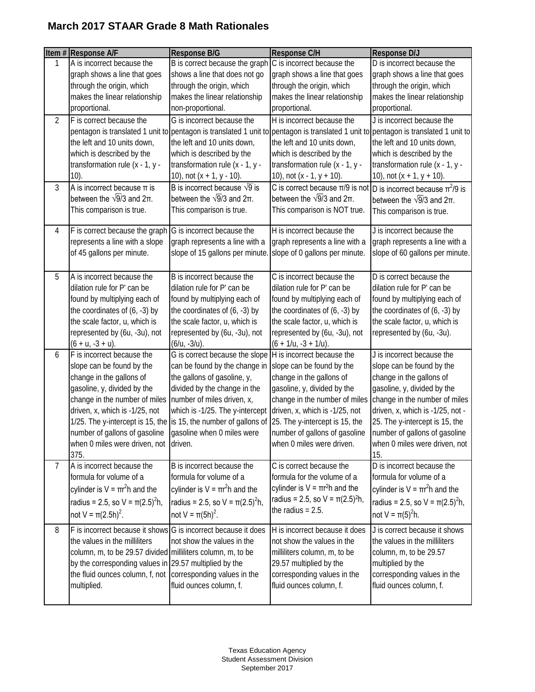|                | Item # Response A/F                                                                                                                                                                                                                                                                                                                         | Response B/G                                                                                                                                                                                                                  | <b>Response C/H</b>                                                                                                                                                                                                                                                                   | Response D/J                                                                                                                                                                                                                                                                                       |
|----------------|---------------------------------------------------------------------------------------------------------------------------------------------------------------------------------------------------------------------------------------------------------------------------------------------------------------------------------------------|-------------------------------------------------------------------------------------------------------------------------------------------------------------------------------------------------------------------------------|---------------------------------------------------------------------------------------------------------------------------------------------------------------------------------------------------------------------------------------------------------------------------------------|----------------------------------------------------------------------------------------------------------------------------------------------------------------------------------------------------------------------------------------------------------------------------------------------------|
| 1              | A is incorrect because the<br>graph shows a line that goes<br>through the origin, which<br>makes the linear relationship<br>proportional.                                                                                                                                                                                                   | B is correct because the graph<br>shows a line that does not go<br>through the origin, which<br>makes the linear relationship<br>non-proportional.                                                                            | C is incorrect because the<br>graph shows a line that goes<br>through the origin, which<br>makes the linear relationship<br>proportional.                                                                                                                                             | D is incorrect because the<br>graph shows a line that goes<br>through the origin, which<br>makes the linear relationship<br>proportional.                                                                                                                                                          |
| $\overline{2}$ | F is correct because the<br>the left and 10 units down,<br>which is described by the<br>transformation rule $(x - 1, y -$<br>10)                                                                                                                                                                                                            | G is incorrect because the<br>the left and 10 units down,<br>which is described by the<br>transformation rule $(x - 1, y -$<br>10), not $(x + 1, y - 10)$ .                                                                   | H is incorrect because the<br>the left and 10 units down,<br>which is described by the<br>transformation rule (x - 1, y -<br>10), not $(x - 1, y + 10)$ .                                                                                                                             | J is incorrect because the<br>pentagon is translated 1 unit to pentagon is translated 1 unit to pentagon is translated 1 unit to pentagon is translated 1 unit to<br>the left and 10 units down,<br>which is described by the<br>transformation rule $(x - 1, y -$<br>10), not $(x + 1, y + 10)$ . |
| 3              | A is incorrect because $\pi$ is<br>between the $\sqrt{9}/3$ and $2\pi$ .<br>This comparison is true.                                                                                                                                                                                                                                        | B is incorrect because $\sqrt{9}$ is<br>between the $\sqrt{9}/3$ and $2\pi$ .<br>This comparison is true.                                                                                                                     | C is correct because $\pi/9$ is not  D is incorrect because $\pi^2/9$ is<br>between the $\sqrt{9}/3$ and $2\pi$ .<br>This comparison is NOT true.                                                                                                                                     | between the $\sqrt{9}/3$ and $2\pi$ .<br>This comparison is true.                                                                                                                                                                                                                                  |
| 4              | F is correct because the graph G is incorrect because the<br>represents a line with a slope<br>of 45 gallons per minute.                                                                                                                                                                                                                    | graph represents a line with a<br>slope of 15 gallons per minute                                                                                                                                                              | H is incorrect because the<br>graph represents a line with a<br>slope of 0 gallons per minute.                                                                                                                                                                                        | J is incorrect because the<br>graph represents a line with a<br>slope of 60 gallons per minute.                                                                                                                                                                                                    |
| 5              | A is incorrect because the<br>dilation rule for P' can be<br>found by multiplying each of<br>the coordinates of $(6, -3)$ by<br>the scale factor, u, which is<br>represented by (6u, -3u), not<br>$(6 + u, -3 + u).$                                                                                                                        | B is incorrect because the<br>dilation rule for P' can be<br>found by multiplying each of<br>the coordinates of $(6, -3)$ by<br>the scale factor, u, which is<br>represented by (6u, -3u), not<br>$(6/u, -3/u).$              | C is incorrect because the<br>dilation rule for P' can be<br>found by multiplying each of<br>the coordinates of $(6, -3)$ by<br>the scale factor, u, which is<br>represented by (6u, -3u), not<br>$(6 + 1/u, -3 + 1/u).$                                                              | D is correct because the<br>dilation rule for P' can be<br>found by multiplying each of<br>the coordinates of $(6, -3)$ by<br>the scale factor, u, which is<br>represented by (6u, -3u).                                                                                                           |
| 6              | F is incorrect because the<br>slope can be found by the<br>change in the gallons of<br>gasoline, y, divided by the<br>change in the number of miles<br>driven, x, which is -1/25, not<br>1/25. The y-intercept is 15, the is 15, the number of gallons of<br>number of gallons of gasoline<br>when 0 miles were driven, not driven.<br>375. | G is correct because the slope<br>can be found by the change in<br>the gallons of gasoline, y,<br>divided by the change in the<br>number of miles driven, x,<br>which is -1/25. The y-intercept<br>gasoline when 0 miles were | H is incorrect because the<br>slope can be found by the<br>change in the gallons of<br>gasoline, y, divided by the<br>change in the number of miles<br>driven, x, which is -1/25, not<br>25. The y-intercept is 15, the<br>number of gallons of gasoline<br>when 0 miles were driven. | J is incorrect because the<br>slope can be found by the<br>change in the gallons of<br>gasoline, y, divided by the<br>change in the number of miles<br>driven, x, which is -1/25, not -<br>25. The y-intercept is 15, the<br>number of gallons of gasoline<br>when 0 miles were driven, not<br>15. |
| $\overline{7}$ | A is incorrect because the<br>formula for volume of a<br>cylinder is $V = \pi r^2 h$ and the<br>radius = 2.5, so V = $\pi(2.5)^2 h$ ,<br>not V = $\pi(2.5h)^2$ .                                                                                                                                                                            | B is incorrect because the<br>formula for volume of a<br>cylinder is $V = \pi r^2 h$ and the<br>radius = 2.5, so V = $\pi(2.5)^2 h$ ,<br>not V = $\pi(5h)^2$ .                                                                | C is correct because the<br>formula for the volume of a<br>cylinder is $V = \pi r^2 h$ and the<br>radius = 2.5, so $V = \pi(2.5)^2 h$ ,<br>the radius $= 2.5$ .                                                                                                                       | D is incorrect because the<br>formula for volume of a<br>cylinder is $V = \pi r^2 h$ and the<br>radius = 2.5, so V = $\pi(2.5)^2 h$ ,<br>not V = $\pi(5)^{2}$ h.                                                                                                                                   |
| 8              | F is incorrect because it shows G is incorrect because it does<br>the values in the milliliters<br>column, m, to be 29.57 divided milliliters column, m, to be<br>by the corresponding values in 29.57 multiplied by the<br>the fluid ounces column, f, not corresponding values in the<br>multiplied.                                      | not show the values in the<br>fluid ounces column, f.                                                                                                                                                                         | H is incorrect because it does<br>not show the values in the<br>milliliters column, m, to be<br>29.57 multiplied by the<br>corresponding values in the<br>fluid ounces column, f.                                                                                                     | J is correct because it shows<br>the values in the milliliters<br>column, m, to be 29.57<br>multiplied by the<br>corresponding values in the<br>fluid ounces column, f.                                                                                                                            |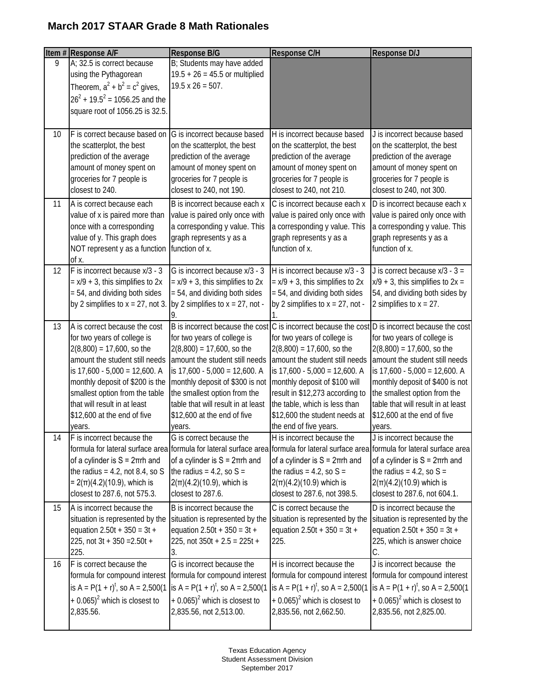|                 | Item # Response A/F                                                                                                                                                                                                                                                                                           | Response B/G                                                                                                                                                                                                                                                                                                           | Response C/H                                                                                                                                                                                                                                                                                           | Response D/J                                                                                                                                                                                                                                                                                                                                           |
|-----------------|---------------------------------------------------------------------------------------------------------------------------------------------------------------------------------------------------------------------------------------------------------------------------------------------------------------|------------------------------------------------------------------------------------------------------------------------------------------------------------------------------------------------------------------------------------------------------------------------------------------------------------------------|--------------------------------------------------------------------------------------------------------------------------------------------------------------------------------------------------------------------------------------------------------------------------------------------------------|--------------------------------------------------------------------------------------------------------------------------------------------------------------------------------------------------------------------------------------------------------------------------------------------------------------------------------------------------------|
| 9               | A; 32.5 is correct because<br>using the Pythagorean<br>Theorem, $a^2 + b^2 = c^2$ gives,<br>$26^2 + 19.5^2 = 1056.25$ and the<br>square root of 1056.25 is 32.5.                                                                                                                                              | B; Students may have added<br>$19.5 + 26 = 45.5$ or multiplied<br>$19.5 \times 26 = 507.$                                                                                                                                                                                                                              |                                                                                                                                                                                                                                                                                                        |                                                                                                                                                                                                                                                                                                                                                        |
| 10 <sup>°</sup> | F is correct because based on<br>the scatterplot, the best<br>prediction of the average<br>amount of money spent on<br>groceries for 7 people is<br>closest to 240.                                                                                                                                           | G is incorrect because based<br>on the scatterplot, the best<br>prediction of the average<br>amount of money spent on<br>groceries for 7 people is<br>closest to 240, not 190.                                                                                                                                         | H is incorrect because based<br>on the scatterplot, the best<br>prediction of the average<br>amount of money spent on<br>groceries for 7 people is<br>closest to 240, not 210.                                                                                                                         | J is incorrect because based<br>on the scatterplot, the best<br>prediction of the average<br>amount of money spent on<br>groceries for 7 people is<br>closest to 240, not 300.                                                                                                                                                                         |
| 11              | A is correct because each<br>value of x is paired more than<br>once with a corresponding<br>value of y. This graph does<br>NOT represent y as a function<br>of x.                                                                                                                                             | B is incorrect because each x<br>value is paired only once with<br>a corresponding y value. This<br>graph represents y as a<br>function of x.                                                                                                                                                                          | C is incorrect because each x<br>value is paired only once with<br>a corresponding y value. This<br>graph represents y as a<br>function of x.                                                                                                                                                          | D is incorrect because each x<br>value is paired only once with<br>a corresponding y value. This<br>graph represents y as a<br>function of x.                                                                                                                                                                                                          |
| 12              | F is incorrect because x/3 - 3<br>$= x/9 + 3$ , this simplifies to 2x<br>= 54, and dividing both sides<br>by 2 simplifies to $x = 27$ , not 3.                                                                                                                                                                | G is incorrect because x/3 - 3<br>$= x/9 + 3$ , this simplifies to 2x<br>$= 54$ , and dividing both sides<br>by 2 simplifies to $x = 27$ , not -                                                                                                                                                                       | H is incorrect because x/3 - 3<br>$= x/9 + 3$ , this simplifies to 2x<br>= 54, and dividing both sides<br>by 2 simplifies to $x = 27$ , not -                                                                                                                                                          | J is correct because $x/3 - 3 =$<br>$x/9 + 3$ , this simplifies to $2x =$<br>54, and dividing both sides by<br>2 simplifies to $x = 27$ .                                                                                                                                                                                                              |
| 13              | A is correct because the cost<br>for two years of college is<br>$2(8,800) = 17,600$ , so the<br>amount the student still needs<br>is 17,600 - 5,000 = 12,600. A<br>monthly deposit of \$200 is the<br>smallest option from the table<br>that will result in at least<br>\$12,600 at the end of five<br>years. | B is incorrect because the cost<br>for two years of college is<br>$2(8,800) = 17,600$ , so the<br>amount the student still needs<br>is $17,600 - 5,000 = 12,600$ . A<br>monthly deposit of \$300 is not<br>the smallest option from the<br>table that will result in at least<br>\$12,600 at the end of five<br>years. | for two years of college is<br>$2(8,800) = 17,600$ , so the<br>amount the student still needs<br>is 17,600 - 5,000 = 12,600. A<br>monthly deposit of \$100 will<br>result in \$12,273 according to<br>the table, which is less than<br>\$12,600 the student needs at<br>the end of five years.         | C is incorrect because the cost D is incorrect because the cost<br>for two years of college is<br>$2(8,800) = 17,600$ , so the<br>amount the student still needs<br>is $17,600 - 5,000 = 12,600$ . A<br>monthly deposit of \$400 is not<br>the smallest option from the<br>table that will result in at least<br>\$12,600 at the end of five<br>years. |
| 14              | F is incorrect because the<br>of a cylinder is $S = 2\pi rh$ and<br>the radius = $4.2$ , not 8.4, so S<br>$= 2(\pi)(4.2)(10.9)$ , which is<br>closest to 287.6, not 575.3.                                                                                                                                    | G is correct because the<br>of a cylinder is $S = 2\pi rh$ and<br>the radius = $4.2$ , so S =<br>$2(\pi)(4.2)(10.9)$ , which is<br>closest to 287.6.                                                                                                                                                                   | H is incorrect because the<br>formula for lateral surface area formula for lateral surface area formula for lateral surface area formula for lateral surface area<br>of a cylinder is $S = 2\pi rh$ and<br>the radius = $4.2$ , so S =<br>$2(\pi)(4.2)(10.9)$ which is<br>closest to 287.6, not 398.5. | J is incorrect because the<br>of a cylinder is $S = 2\pi rh$ and<br>the radius = $4.2$ , so S =<br>$2(\pi)(4.2)(10.9)$ which is<br>closest to 287.6, not 604.1.                                                                                                                                                                                        |
| 15              | A is incorrect because the<br>situation is represented by the<br>equation $2.50t + 350 = 3t +$<br>225, not $3t + 350 = 2.50t +$<br>225.                                                                                                                                                                       | B is incorrect because the<br>situation is represented by the<br>equation $2.50t + 350 = 3t +$<br>225, not $350t + 2.5 = 225t +$<br>3.                                                                                                                                                                                 | C is correct because the<br>situation is represented by the<br>equation $2.50t + 350 = 3t +$<br>225.                                                                                                                                                                                                   | D is incorrect because the<br>situation is represented by the<br>equation $2.50t + 350 = 3t +$<br>225, which is answer choice<br>C.                                                                                                                                                                                                                    |
| 16              | F is correct because the<br>formula for compound interest<br>is A = $P(1 + r)^t$ , so A = 2,500(1)<br>$+$ 0.065) <sup>2</sup> which is closest to<br>2,835.56.                                                                                                                                                | G is incorrect because the<br>formula for compound interest<br>is A = $P(1 + r)^t$ , so A = 2,500(1)<br>$+$ 0.065) <sup>2</sup> which is closest to<br>2,835.56, not 2,513.00.                                                                                                                                         | H is incorrect because the<br>formula for compound interest<br>is A = $P(1 + r)^t$ , so A = 2,500(1)<br>$+$ 0.065) <sup>2</sup> which is closest to<br>2,835.56, not 2,662.50.                                                                                                                         | J is incorrect because the<br>formula for compound interest<br>is A = $P(1 + r)^t$ , so A = 2,500(1)<br>$+$ 0.065) <sup>2</sup> which is closest to<br>2,835.56, not 2,825.00.                                                                                                                                                                         |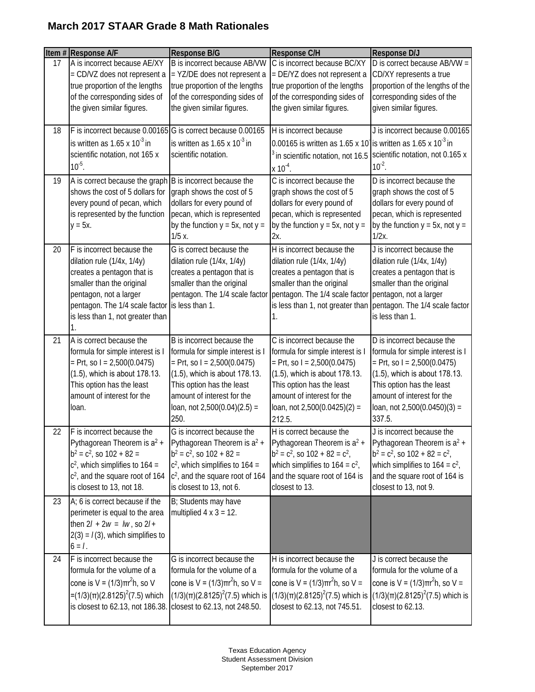|    | Item # Response A/F                                                                                                                                                                                                       | Response B/G                                                                                                                                                                                                                          | Response C/H                                                                                                                                                                                                                            | <b>Response D/J</b>                                                                                                                                                                                                                     |
|----|---------------------------------------------------------------------------------------------------------------------------------------------------------------------------------------------------------------------------|---------------------------------------------------------------------------------------------------------------------------------------------------------------------------------------------------------------------------------------|-----------------------------------------------------------------------------------------------------------------------------------------------------------------------------------------------------------------------------------------|-----------------------------------------------------------------------------------------------------------------------------------------------------------------------------------------------------------------------------------------|
| 17 | A is incorrect because AE/XY<br>= CD/VZ does not represent a<br>true proportion of the lengths<br>of the corresponding sides of<br>the given similar figures.                                                             | B is incorrect because AB/VW<br>= YZ/DE does not represent a<br>true proportion of the lengths<br>of the corresponding sides of<br>the given similar figures.                                                                         | C is incorrect because BC/XY<br>= DE/YZ does not represent a<br>true proportion of the lengths<br>of the corresponding sides of<br>the given similar figures.                                                                           | D is correct because AB/VW =<br>CD/XY represents a true<br>proportion of the lengths of the<br>corresponding sides of the<br>given similar figures.                                                                                     |
| 18 | F is incorrect because 0.00165 G is correct because 0.00165<br>is written as $1.65 \times 10^{-3}$ in<br>scientific notation, not 165 x<br>$10^{-5}$ .                                                                    | is written as $1.65 \times 10^{-3}$ in<br>scientific notation.                                                                                                                                                                        | H is incorrect because<br>0.00165 is written as 1.65 x 10 is written as 1.65 x 10 <sup>-3</sup> in<br>in scientific notation, not 16.5<br>$x 10^{-4}$ .                                                                                 | J is incorrect because 0.00165<br>scientific notation, not 0.165 x<br>$10^{-2}$ .                                                                                                                                                       |
| 19 | A is correct because the graph<br>shows the cost of 5 dollars for<br>every pound of pecan, which<br>is represented by the function<br>$y = 5x$ .                                                                          | B is incorrect because the<br>graph shows the cost of 5<br>dollars for every pound of<br>pecan, which is represented<br>by the function $y = 5x$ , not $y =$<br>$1/5x$ .                                                              | C is incorrect because the<br>graph shows the cost of 5<br>dollars for every pound of<br>pecan, which is represented<br>by the function $y = 5x$ , not $y =$<br>$2x$ .                                                                  | D is incorrect because the<br>graph shows the cost of 5<br>dollars for every pound of<br>pecan, which is represented<br>by the function $y = 5x$ , not $y =$<br>$1/2x$ .                                                                |
| 20 | F is incorrect because the<br>dilation rule (1/4x, 1/4y)<br>creates a pentagon that is<br>smaller than the original<br>pentagon, not a larger<br>pentagon. The 1/4 scale factor<br>is less than 1, not greater than<br>Ί. | G is correct because the<br>dilation rule (1/4x, 1/4y)<br>creates a pentagon that is<br>smaller than the original<br>pentagon. The 1/4 scale factor<br>is less than 1.                                                                | H is incorrect because the<br>dilation rule (1/4x, 1/4y)<br>creates a pentagon that is<br>smaller than the original<br>pentagon. The 1/4 scale factor pentagon, not a larger<br>is less than 1, not greater than<br>1.                  | J is incorrect because the<br>dilation rule (1/4x, 1/4y)<br>creates a pentagon that is<br>smaller than the original<br>pentagon. The 1/4 scale factor<br>is less than 1.                                                                |
| 21 | A is correct because the<br>formula for simple interest is I<br>$=$ Prt, so I = 2,500(0.0475)<br>(1.5), which is about 178.13.<br>This option has the least<br>amount of interest for the<br>loan.                        | B is incorrect because the<br>formula for simple interest is I<br>$=$ Prt, so I = 2,500(0.0475)<br>(1.5), which is about 178.13.<br>This option has the least<br>amount of interest for the<br>loan, not $2,500(0.04)(2.5) =$<br>250. | C is incorrect because the<br>formula for simple interest is I<br>$=$ Prt, so I = 2,500(0.0475)<br>(1.5), which is about 178.13.<br>This option has the least<br>amount of interest for the<br>loan, not $2,500(0.0425)(2) =$<br>212.5. | D is incorrect because the<br>formula for simple interest is I<br>$=$ Prt, so I = 2,500(0.0475)<br>(1.5), which is about 178.13.<br>This option has the least<br>amount of interest for the<br>loan, not $2,500(0.0450)(3) =$<br>337.5. |
| 22 | F is incorrect because the<br>Pythagorean Theorem is a <sup>2</sup> +<br>$b^2 = c^2$ , so 102 + 82 =<br>$c2$ , which simplifies to 164 =<br>c <sup>2</sup> , and the square root of 164<br>is closest to 13, not 18.      | G is incorrect because the<br>Pythagorean Theorem is a <sup>2</sup> +<br>$b^2 = c^2$ , so 102 + 82 =<br>$c2$ , which simplifies to 164 =<br>$c2$ , and the square root of 164<br>is closest to 13, not 6.                             | H is correct because the<br>Pythagorean Theorem is a <sup>2</sup> +<br>$b^2 = c^2$ , so $102 + 82 = c^2$ ,<br>which simplifies to $164 = c^2$ ,<br>and the square root of 164 is<br>closest to 13.                                      | J is incorrect because the<br>Pythagorean Theorem is a <sup>2</sup> +<br>$b^2 = c^2$ , so $102 + 82 = c^2$ ,<br>which simplifies to $164 = c^2$ ,<br>and the square root of 164 is<br>closest to 13, not 9.                             |
| 23 | A; 6 is correct because if the<br>perimeter is equal to the area<br>then $2l + 2w = lw$ , so $2l +$<br>$2(3) = I(3)$ , which simplifies to<br>$6 = 1$ .                                                                   | B; Students may have<br>multiplied $4 \times 3 = 12$ .                                                                                                                                                                                |                                                                                                                                                                                                                                         |                                                                                                                                                                                                                                         |
| 24 | F is incorrect because the<br>formula for the volume of a<br>cone is $V = (1/3)\pi r^2 h$ , so V<br>=(1/3)(π)(2.8125) <sup>2</sup> (7.5) which<br>is closest to 62.13, not 186.38.                                        | G is incorrect because the<br>formula for the volume of a<br>cone is V = $(1/3)πr2h$ , so V =<br>$(1/3)(\pi)(2.8125)^{2}(7.5)$ which is<br>closest to 62.13, not 248.50.                                                              | H is incorrect because the<br>formula for the volume of a<br>cone is V = $(1/3)πr2h$ , so V =<br>$(1/3)(\pi)(2.8125)^2(7.5)$ which is<br>closest to 62.13, not 745.51.                                                                  | J is correct because the<br>formula for the volume of a<br>cone is V = $(1/3)πr2h$ , so V =<br>$(1/3)(\pi)(2.8125)^{2}(7.5)$ which is<br>closest to 62.13.                                                                              |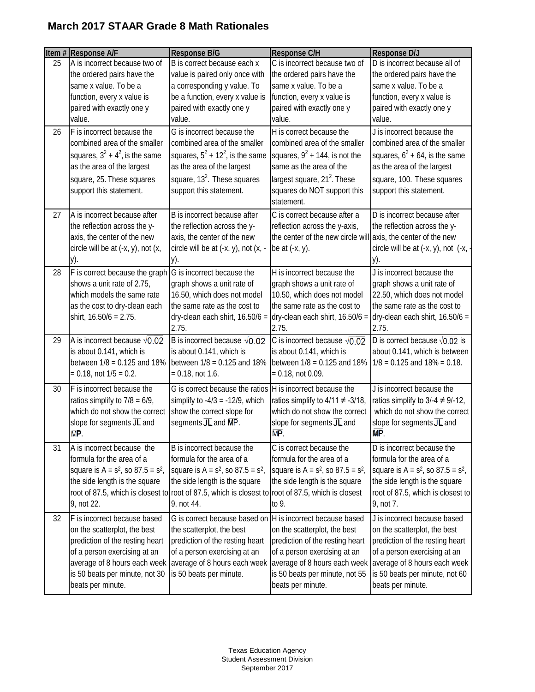|    | Item # Response A/F                                                                                                                                                                                                    | Response B/G                                                                                                                                                                                                                                            | <b>Response C/H</b>                                                                                                                                                                                                    | Response D/J                                                                                                                                                                                                           |
|----|------------------------------------------------------------------------------------------------------------------------------------------------------------------------------------------------------------------------|---------------------------------------------------------------------------------------------------------------------------------------------------------------------------------------------------------------------------------------------------------|------------------------------------------------------------------------------------------------------------------------------------------------------------------------------------------------------------------------|------------------------------------------------------------------------------------------------------------------------------------------------------------------------------------------------------------------------|
| 25 | A is incorrect because two of<br>the ordered pairs have the<br>same x value. To be a<br>function, every x value is                                                                                                     | B is correct because each x<br>value is paired only once with<br>a corresponding y value. To<br>be a function, every x value is                                                                                                                         | C is incorrect because two of<br>the ordered pairs have the<br>same x value. To be a<br>function, every x value is                                                                                                     | D is incorrect because all of<br>the ordered pairs have the<br>same x value. To be a<br>function, every x value is                                                                                                     |
|    | paired with exactly one y<br>value.                                                                                                                                                                                    | paired with exactly one y<br>value.                                                                                                                                                                                                                     | paired with exactly one y<br>value.                                                                                                                                                                                    | paired with exactly one y<br>value.                                                                                                                                                                                    |
| 26 | F is incorrect because the<br>combined area of the smaller<br>squares, $3^2 + 4^2$ , is the same<br>as the area of the largest<br>square, 25. These squares<br>support this statement.                                 | G is incorrect because the<br>combined area of the smaller<br>squares, $5^2$ + 12 <sup>2</sup> , is the same<br>as the area of the largest<br>square, $132$ . These squares<br>support this statement.                                                  | H is correct because the<br>combined area of the smaller<br>squares, $9^2$ + 144, is not the<br>same as the area of the<br>largest square, 21 <sup>2</sup> . These<br>squares do NOT support this<br>statement.        | J is incorrect because the<br>combined area of the smaller<br>squares, $6^2$ + 64, is the same<br>as the area of the largest<br>square, 100. These squares<br>support this statement.                                  |
| 27 | A is incorrect because after<br>the reflection across the y-<br>axis, the center of the new<br>circle will be at $(-x, y)$ , not $(x, y)$<br>у).                                                                       | B is incorrect because after<br>the reflection across the y-<br>axis, the center of the new<br>circle will be at (-x, y), not (x, -<br>у).                                                                                                              | C is correct because after a<br>reflection across the y-axis,<br>the center of the new circle will axis, the center of the new<br>be at $(-x, y)$ .                                                                    | D is incorrect because after<br>the reflection across the y-<br>circle will be at $(-x, y)$ , not $(-x, -$<br>у).                                                                                                      |
| 28 | F is correct because the graph<br>shows a unit rate of 2.75,<br>which models the same rate<br>as the cost to dry-clean each<br>shirt, 16.50/6 = 2.75.                                                                  | G is incorrect because the<br>graph shows a unit rate of<br>16.50, which does not model<br>the same rate as the cost to<br>dry-clean each shirt, $16.50/6 =$<br>2.75.                                                                                   | H is incorrect because the<br>graph shows a unit rate of<br>10.50, which does not model<br>the same rate as the cost to<br>dry-clean each shirt, $16.50/6 =$<br>2.75.                                                  | J is incorrect because the<br>graph shows a unit rate of<br>22.50, which does not model<br>the same rate as the cost to<br>dry-clean each shirt, $16.50/6 =$<br>2.75.                                                  |
| 29 | A is incorrect because $\sqrt{0.02}$<br>is about 0.141, which is<br>between $1/8 = 0.125$ and 18% between $1/8 = 0.125$ and 18%<br>$= 0.18$ , not $1/5 = 0.2$ .                                                        | B is incorrect because $\sqrt{0.02}$<br>is about 0.141, which is<br>$= 0.18$ , not 1.6.                                                                                                                                                                 | C is incorrect because $\sqrt{0.02}$<br>is about 0.141, which is<br>between $1/8 = 0.125$ and $18%$<br>$= 0.18$ , not 0.09.                                                                                            | D is correct because $\sqrt{0.02}$ is<br>about 0.141, which is between<br>$1/8 = 0.125$ and $18\% = 0.18$ .                                                                                                            |
| 30 | F is incorrect because the<br>ratios simplify to $7/8 = 6/9$ ,<br>which do not show the correct<br>slope for segments $\overline{JL}$ and<br>MP                                                                        | G is correct because the ratios H is incorrect because the<br>simplify to $-4/3 = -12/9$ , which<br>show the correct slope for<br>segments $\overline{\text{JL}}$ and $\overline{\text{MP}}$ .                                                          | ratios simplify to $4/11 \neq -3/18$ ,<br>which do not show the correct<br>slope for segments $\overline{JL}$ and<br>$\overline{\mathsf{MP}}$                                                                          | J is incorrect because the<br>ratios simplify to $3/ - 4 \neq 9/ - 12$ ,<br>which do not show the correct<br>slope for segments JL and<br><b>MP</b>                                                                    |
| 31 | A is incorrect because the<br>formula for the area of a<br>square is $A = s^2$ , so $87.5 = s^2$ ,<br>the side length is the square<br>9, not 22.                                                                      | B is incorrect because the<br>formula for the area of a<br>square is $A = s^2$ , so $87.5 = s^2$ ,<br>the side length is the square<br>root of 87.5, which is closest to root of 87.5, which is closest to root of 87.5, which is closest<br>9, not 44. | C is correct because the<br>formula for the area of a<br>square is $A = s^2$ , so $87.5 = s^2$ ,<br>the side length is the square<br>to 9.                                                                             | D is incorrect because the<br>formula for the area of a<br>square is $A = s^2$ , so $87.5 = s^2$ ,<br>the side length is the square<br>root of 87.5, which is closest to<br>9, not 7.                                  |
| 32 | F is incorrect because based<br>on the scatterplot, the best<br>prediction of the resting heart<br>of a person exercising at an<br>average of 8 hours each week<br>is 50 beats per minute, not 30<br>beats per minute. | G is correct because based on<br>the scatterplot, the best<br>prediction of the resting heart<br>of a person exercising at an<br>average of 8 hours each week<br>is 50 beats per minute.                                                                | H is incorrect because based<br>on the scatterplot, the best<br>prediction of the resting heart<br>of a person exercising at an<br>average of 8 hours each week<br>is 50 beats per minute, not 55<br>beats per minute. | J is incorrect because based<br>on the scatterplot, the best<br>prediction of the resting heart<br>of a person exercising at an<br>average of 8 hours each week<br>is 50 beats per minute, not 60<br>beats per minute. |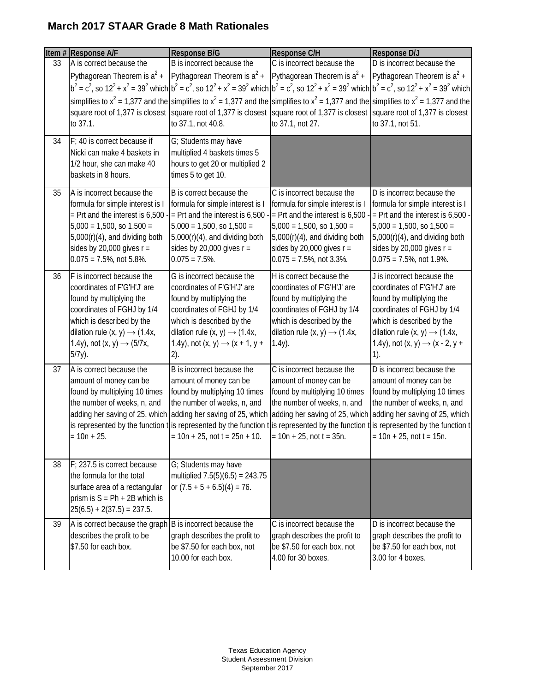|    | Item # Response A/F                                                                          | <b>Response B/G</b>                                                                                                                                                         | Response C/H                                                            | Response D/J                                                  |
|----|----------------------------------------------------------------------------------------------|-----------------------------------------------------------------------------------------------------------------------------------------------------------------------------|-------------------------------------------------------------------------|---------------------------------------------------------------|
| 33 | A is correct because the                                                                     | B is incorrect because the                                                                                                                                                  | C is incorrect because the                                              | D is incorrect because the                                    |
|    | Pythagorean Theorem is $a^2$ + Pythagorean Theorem is $a^2$ +                                |                                                                                                                                                                             | Pythagorean Theorem is $a^2 +$                                          | Pythagorean Theorem is $a^2 +$                                |
|    |                                                                                              | $b^2 = c^2$ , so $12^2 + x^2 = 39^2$ which $b^2 = c^2$ , so $12^2 + x^2 = 39^2$ which $b^2 = c^2$ , so $12^2 + x^2 = 39^2$ which $b^2 = c^2$ , so $12^2 + x^2 = 39^2$ which |                                                                         |                                                               |
|    |                                                                                              | simplifies to $x^2$ = 1,377 and the simplifies to $x^2$ = 1,377 and the simplifies to $x^2$ = 1,377 and the simplifies to $x^2$ = 1,377 and the                             |                                                                         |                                                               |
|    |                                                                                              | square root of 1,377 is closest square root of 1,377 is closest square root of 1,377 is closest square root of 1,377 is closest                                             |                                                                         |                                                               |
|    | to 37.1.                                                                                     | to 37.1, not 40.8.                                                                                                                                                          | to 37.1, not 27.                                                        | to 37.1, not 51.                                              |
| 34 | F; 40 is correct because if<br>Nicki can make 4 baskets in                                   | G; Students may have<br>multiplied 4 baskets times 5                                                                                                                        |                                                                         |                                                               |
|    | 1/2 hour, she can make 40<br>baskets in 8 hours.                                             | hours to get 20 or multiplied 2<br>times 5 to get 10.                                                                                                                       |                                                                         |                                                               |
| 35 | A is incorrect because the                                                                   | B is correct because the                                                                                                                                                    | C is incorrect because the                                              | D is incorrect because the                                    |
|    | formula for simple interest is I                                                             | formula for simple interest is I                                                                                                                                            | formula for simple interest is I                                        | formula for simple interest is I                              |
|    | $=$ Prt and the interest is 6,500                                                            | $=$ Prt and the interest is 6,500                                                                                                                                           | = Prt and the interest is $6,500 -$ = Prt and the interest is $6,500 -$ |                                                               |
|    | $5,000 = 1,500$ , so $1,500 =$                                                               | $5,000 = 1,500$ , so $1,500 =$                                                                                                                                              | $5,000 = 1,500$ , so $1,500 =$                                          | $5,000 = 1,500$ , so $1,500 =$                                |
|    | $5,000(r)(4)$ , and dividing both                                                            | $5,000(r)(4)$ , and dividing both                                                                                                                                           | $5,000(r)(4)$ , and dividing both                                       | $5,000(r)(4)$ , and dividing both                             |
|    | sides by 20,000 gives $r =$<br>$0.075 = 7.5\%$ , not 5.8%.                                   | sides by 20,000 gives $r =$<br>$0.075 = 7.5\%$ .                                                                                                                            | sides by 20,000 gives $r =$<br>$0.075 = 7.5\%$ , not 3.3%.              | sides by 20,000 gives $r =$<br>$0.075 = 7.5\%$ , not 1.9%.    |
|    |                                                                                              |                                                                                                                                                                             |                                                                         |                                                               |
| 36 | F is incorrect because the                                                                   | G is incorrect because the                                                                                                                                                  | H is correct because the                                                | J is incorrect because the                                    |
|    | coordinates of F'G'H'J' are<br>found by multiplying the                                      | coordinates of F'G'H'J' are<br>found by multiplying the                                                                                                                     | coordinates of F'G'H'J' are<br>found by multiplying the                 | coordinates of F'G'H'J' are<br>found by multiplying the       |
|    | coordinates of FGHJ by 1/4                                                                   | coordinates of FGHJ by 1/4                                                                                                                                                  | coordinates of FGHJ by 1/4                                              | coordinates of FGHJ by 1/4                                    |
|    | which is described by the                                                                    | which is described by the                                                                                                                                                   | which is described by the                                               | which is described by the                                     |
|    | dilation rule $(x, y) \rightarrow (1.4x,$                                                    | dilation rule $(x, y) \rightarrow (1.4x,$                                                                                                                                   | dilation rule $(x, y) \rightarrow (1.4x,$                               | dilation rule $(x, y) \rightarrow (1.4x,$                     |
|    | 1.4y), not $(x, y) \rightarrow (5/7x,$                                                       | 1.4y), not $(x, y) \rightarrow (x + 1, y +$                                                                                                                                 | $1.4y$ ).                                                               | 1.4y), not $(x, y) \rightarrow (x - 2, y +$                   |
|    | $5/7y$ ).                                                                                    | 2).                                                                                                                                                                         |                                                                         | 1).                                                           |
| 37 | A is correct because the                                                                     | B is incorrect because the                                                                                                                                                  | C is incorrect because the                                              | D is incorrect because the                                    |
|    | amount of money can be                                                                       | amount of money can be                                                                                                                                                      | amount of money can be                                                  | amount of money can be                                        |
|    | found by multiplying 10 times                                                                | found by multiplying 10 times                                                                                                                                               | found by multiplying 10 times                                           | found by multiplying 10 times                                 |
|    | the number of weeks, n, and<br>adding her saving of 25, which adding her saving of 25, which | the number of weeks, n, and                                                                                                                                                 | the number of weeks, n, and<br>adding her saving of 25, which           | the number of weeks, n, and<br>adding her saving of 25, which |
|    |                                                                                              | is represented by the function this represented by the function this represented by the function this represented by the function t                                         |                                                                         |                                                               |
|    | $= 10n + 25.$                                                                                | $= 10n + 25$ , not t = 25n + 10.                                                                                                                                            | $= 10n + 25$ , not t = 35n.                                             | $= 10n + 25$ , not t = 15n.                                   |
|    |                                                                                              |                                                                                                                                                                             |                                                                         |                                                               |
| 38 | F: 237.5 is correct because                                                                  | G; Students may have                                                                                                                                                        |                                                                         |                                                               |
|    | the formula for the total                                                                    | multiplied $7.5(5)(6.5) = 243.75$                                                                                                                                           |                                                                         |                                                               |
|    | surface area of a rectangular                                                                | or $(7.5 + 5 + 6.5)(4) = 76$ .                                                                                                                                              |                                                                         |                                                               |
|    | prism is $S = Ph + 2B$ which is                                                              |                                                                                                                                                                             |                                                                         |                                                               |
|    | $25(6.5) + 2(37.5) = 237.5.$                                                                 |                                                                                                                                                                             |                                                                         |                                                               |
| 39 | A is correct because the graph B is incorrect because the                                    |                                                                                                                                                                             | C is incorrect because the                                              | D is incorrect because the                                    |
|    | describes the profit to be                                                                   | graph describes the profit to                                                                                                                                               | graph describes the profit to                                           | graph describes the profit to                                 |
|    | \$7.50 for each box.                                                                         | be \$7.50 for each box, not<br>10.00 for each box.                                                                                                                          | be \$7.50 for each box, not<br>4.00 for 30 boxes.                       | be \$7.50 for each box, not<br>3.00 for 4 boxes.              |
|    |                                                                                              |                                                                                                                                                                             |                                                                         |                                                               |